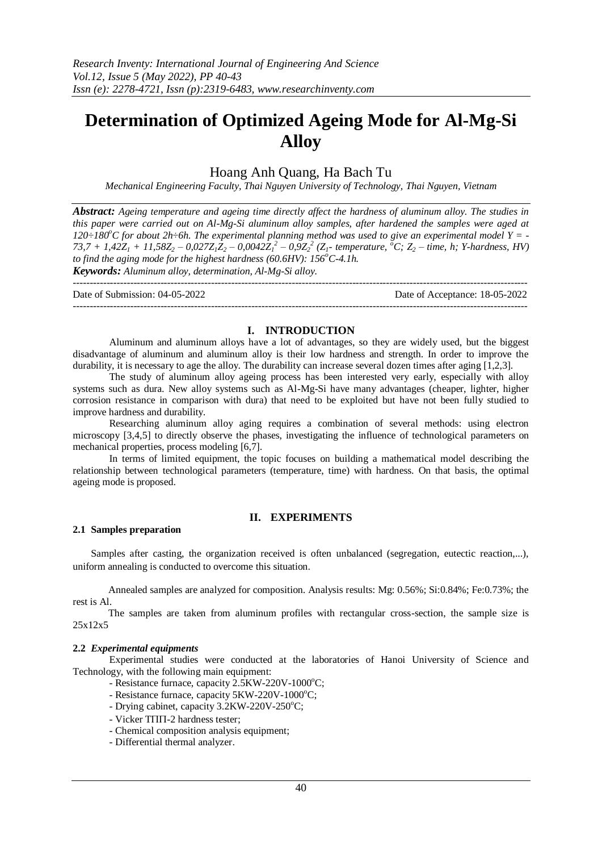# **Determination of Optimized Ageing Mode for Al-Mg-Si Alloy**

## Hoang Anh Quang, Ha Bach Tu

*Mechanical Engineering Faculty, Thai Nguyen University of Technology, Thai Nguyen, Vietnam*

*Abstract: Ageing temperature and ageing time directly affect the hardness of aluminum alloy. The studies in this paper were carried out on Al-Mg-Si aluminum alloy samples, after hardened the samples were aged at 120÷180<sup>o</sup>C for about 2h÷6h. The experimental planning method was used to give an experimental model Y = -* 73,7 + 1,42 $Z_1$  + 11,58 $Z_2$  – 0,027 $Z_1Z_2$  – 0,0042 $Z_1^2$  – 0,9 $Z_2^2$  ( $Z_1$ - temperature,  ${}^{\circ}C$ ;  $Z_2$  – time, h; Y-hardness, HV) *to find the aging mode for the highest hardness (60.6HV): 156<sup>o</sup>C-4.1h. Keywords: Aluminum alloy, determination, Al-Mg-Si alloy.*

---------------------------------------------------------------------------------------------------------------------------------------

Date of Submission: 04-05-2022 Date of Acceptance: 18-05-2022 ---------------------------------------------------------------------------------------------------------------------------------------

## **I. INTRODUCTION**

Aluminum and aluminum alloys have a lot of advantages, so they are widely used, but the biggest disadvantage of aluminum and aluminum alloy is their low hardness and strength. In order to improve the durability, it is necessary to age the alloy. The durability can increase several dozen times after aging [1,2,3].

The study of aluminum alloy ageing process has been interested very early, especially with alloy systems such as dura. New alloy systems such as Al-Mg-Si have many advantages (cheaper, lighter, higher corrosion resistance in comparison with dura) that need to be exploited but have not been fully studied to improve hardness and durability.

Researching aluminum alloy aging requires a combination of several methods: using electron microscopy [3,4,5] to directly observe the phases, investigating the influence of technological parameters on mechanical properties, process modeling [6,7].

In terms of limited equipment, the topic focuses on building a mathematical model describing the relationship between technological parameters (temperature, time) with hardness. On that basis, the optimal ageing mode is proposed.

## **II. EXPERIMENTS**

## **2.1 Samples preparation**

Samples after casting, the organization received is often unbalanced (segregation, eutectic reaction,...), uniform annealing is conducted to overcome this situation.

Annealed samples are analyzed for composition. Analysis results: Mg: 0.56%; Si:0.84%; Fe:0.73%; the rest is Al.

The samples are taken from aluminum profiles with rectangular cross-section, the sample size is 25x12x5

## **2.2** *Experimental equipments*

Experimental studies were conducted at the laboratories of Hanoi University of Science and Technology, with the following main equipment:

- Resistance furnace, capacity 2.5KW-220V-1000°C;
- Resistance furnace, capacity 5KW-220V-1000°C;
- Drying cabinet, capacity 3.2KW-220V-250°C;
- $-$  Vicker T $\Pi$  $\Pi$ -2 hardness tester:
- Chemical composition analysis equipment;
- Differential thermal analyzer.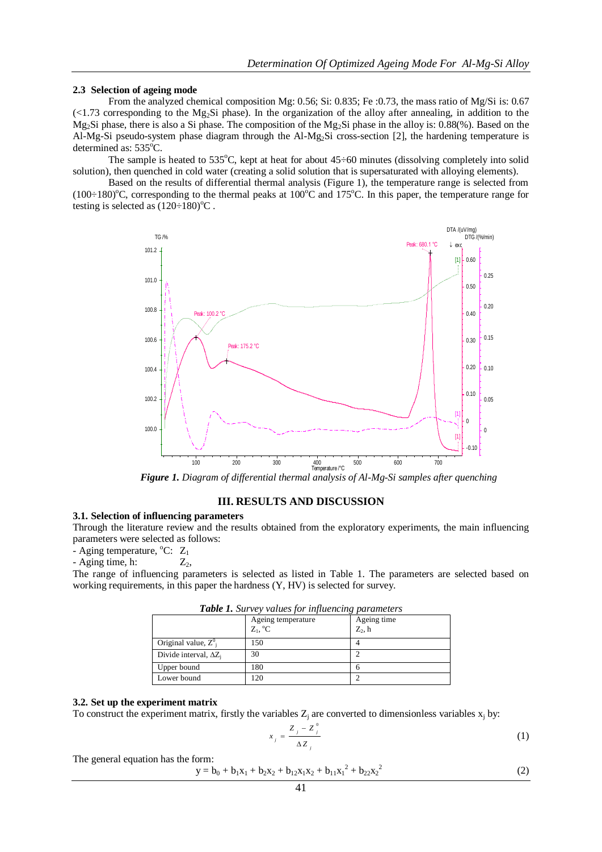#### **2.3 Selection of ageing mode**

From the analyzed chemical composition Mg: 0.56; Si: 0.835; Fe :0.73, the mass ratio of Mg/Si is: 0.67  $\ll$  1.73 corresponding to the Mg<sub>2</sub>Si phase). In the organization of the alloy after annealing, in addition to the Mg<sub>2</sub>Si phase, there is also a Si phase. The composition of the Mg<sub>2</sub>Si phase in the alloy is: 0.88(%). Based on the Al-Mg-Si pseudo-system phase diagram through the Al-Mg2Si cross-section [2], the hardening temperature is determined as: 535°C.

The sample is heated to  $535^{\circ}$ C, kept at heat for about  $45\div 60$  minutes (dissolving completely into solid solution), then quenched in cold water (creating a solid solution that is supersaturated with alloying elements).

Based on the results of differential thermal analysis (Figure 1), the temperature range is selected from (100 $\div$ 180)<sup>o</sup>C, corresponding to the thermal peaks at 100<sup>o</sup>C and 175<sup>o</sup>C. In this paper, the temperature range for testing is selected as  $(120\div 180)$ <sup>o</sup>C.



*Figure 1. Diagram of differential thermal analysis of Al-Mg-Si samples after quenching*

## **III. RESULTS AND DISCUSSION**

## **3.1. Selection of influencing parameters**

Through the literature review and the results obtained from the exploratory experiments, the main influencing parameters were selected as follows:

- Aging temperature,  $^{\circ}C: Z_1$ 

 $-A$ ging time, h:  $Z_2$ ,

The range of influencing parameters is selected as listed in Table 1. The parameters are selected based on working requirements, in this paper the hardness (Y, HV) is selected for survey.

|                               | Ageing temperature<br>$Z_1$ , ${}^{\circ}C$ | Ageing time<br>$Z_2$ , h |  |  |  |
|-------------------------------|---------------------------------------------|--------------------------|--|--|--|
| Original value, $Z_i^0$       | 150                                         |                          |  |  |  |
| Divide interval, $\Delta Z_i$ | 30                                          |                          |  |  |  |
| Upper bound                   | 180                                         |                          |  |  |  |
| Lower bound                   | 120                                         |                          |  |  |  |

|  |  | <b>Table 1.</b> Survey values for influencing parameters |
|--|--|----------------------------------------------------------|
|  |  |                                                          |

## **3.2. Set up the experiment matrix**

To construct the experiment matrix, firstly the variables  $Z_i$  are converted to dimensionless variables  $x_i$  by:

$$
x_j = \frac{Z_j - Z_j^0}{\Delta Z_j} \tag{1}
$$

The general equation has the form:

$$
y = b_0 + b_1x_1 + b_2x_2 + b_{12}x_1x_2 + b_{11}x_1^2 + b_{22}x_2^2
$$
 (2)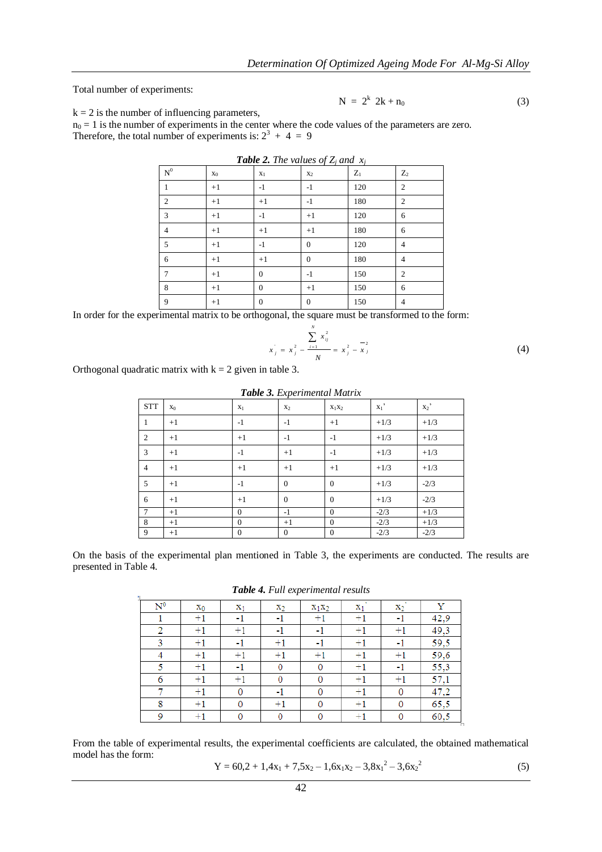Total number of experiments:

$$
N = 2^k 2k + n_0 \tag{3}
$$

 $k = 2$  is the number of influencing parameters,

 $n_0 = 1$  is the number of experiments in the center where the code values of the parameters are zero. Therefore, the total number of experiments is:  $2^3 + 4 = 9$ 

| $\mbox{N}^0$   | $X_0$ | $X_1$          | $X_2$            | $Z_1$ | $Z_2$          |
|----------------|-------|----------------|------------------|-------|----------------|
| 1              | $+1$  | $-1$           | $-1$             | 120   | $\overline{c}$ |
| 2              | $+1$  | $+1$           | $-1$             | 180   | 2              |
| 3              | $+1$  | $-1$           | $+1$             | 120   | 6              |
| $\overline{4}$ | $+1$  | $+1$           | $+1$             | 180   | 6              |
| 5              | $+1$  | $-1$           | $\mathbf{0}$     | 120   | 4              |
| 6              | $+1$  | $+1$           | $\mathbf{0}$     | 180   | 4              |
| 7              | $+1$  | $\overline{0}$ | $-1$             | 150   | $\overline{2}$ |
| 8              | $+1$  | $\theta$       | $+1$             | 150   | 6              |
| 9              | $+1$  | $\overline{0}$ | $\boldsymbol{0}$ | 150   | $\overline{4}$ |

*Table 2. The values of Z<sub>i</sub>**and* $x_i$ 

In order for the experimental matrix to be orthogonal, the square must be transformed to the form:

$$
x_j = x_j^2 - \frac{\sum_{i=1}^N x_{ij}^2}{N} = x_j^2 - \frac{-2}{X_j}
$$
 (4)

Orthogonal quadratic matrix with  $k = 2$  given in table 3.

| Table 3. Experimental Matrix |       |          |                |              |        |                |  |
|------------------------------|-------|----------|----------------|--------------|--------|----------------|--|
| <b>STT</b>                   | $X_0$ | $X_1$    | X <sub>2</sub> | $X_1X_2$     | $x_1$  | $\mathbf{x}_2$ |  |
| 1                            | $+1$  | $-1$     | $-1$           | $+1$         | $+1/3$ | $+1/3$         |  |
| $\overline{2}$               | $+1$  | $+1$     | $-1$           | $-1$         | $+1/3$ | $+1/3$         |  |
| 3                            | $+1$  | $-1$     | $+1$           | $-1$         | $+1/3$ | $+1/3$         |  |
| $\overline{4}$               | $+1$  | $+1$     | $+1$           | $+1$         | $+1/3$ | $+1/3$         |  |
| 5                            | $+1$  | $-1$     | $\Omega$       | $\theta$     | $+1/3$ | $-2/3$         |  |
| 6                            | $+1$  | $+1$     | $\Omega$       | $\Omega$     | $+1/3$ | $-2/3$         |  |
| 7                            | $+1$  | $\Omega$ | $-1$           | $\Omega$     | $-2/3$ | $+1/3$         |  |
| 8                            | $+1$  | $\Omega$ | $+1$           | $\mathbf{0}$ | $-2/3$ | $+1/3$         |  |
| 9                            | $+1$  | $\theta$ | $\mathbf{0}$   | $\theta$     | $-2/3$ | $-2/3$         |  |

On the basis of the experimental plan mentioned in Table 3, the experiments are conducted. The results are presented in Table 4.

*Table 4. Full experimental results*

| <b>Tuble 4.</b> I am experimental results |                  |                |              |          |                |                |      |
|-------------------------------------------|------------------|----------------|--------------|----------|----------------|----------------|------|
| $\mathrm{N}^0$                            | $X_0$            | $\mathbf{x}_1$ | $x_2$        | $X_1X_2$ | $\mathbf{x}_1$ | $\mathbf{x}_2$ | Y    |
|                                           | $+1$             | -1             | -1           | $+1$     | $+1$           | -1             | 42,9 |
| 2                                         | $+1$             | $+1$           | -1           | -1       | $+1$           | $+1$           | 49,3 |
| 3                                         | $+1$             | -1             | $+1$         | -1       | $+1$           | -1             | 59,5 |
| 4                                         | $+1$             | $+1$           | $+1$         | $+1$     | $+1$           | $+1$           | 59,6 |
| 5                                         | $+1$             | -1             | $\mathbf{0}$ | 0        | $+1$           | $-1$           | 55,3 |
| 6                                         | $+1$             | $+1$           | $\bf{0}$     | 0        | $+1$           | $+1$           | 57,1 |
|                                           | $+1$             | 0              | -1           | 0        | $+1$           | 0              | 47,2 |
| 8                                         | $+1$             | 0              | $+1$         | 0        | $+1$           | 0              | 65,5 |
| 9                                         | $^{\mathrm{+1}}$ | 0              | $\mathbf{0}$ | 0        | $+1$           | 0              | 60,5 |

From the table of experimental results, the experimental coefficients are calculated, the obtained mathematical model has the form:  $\overline{a}$  $\overline{a}$ 

$$
Y = 60,2 + 1,4x_1 + 7,5x_2 - 1,6x_1x_2 - 3,8x_1^2 - 3,6x_2^2
$$
 (5)